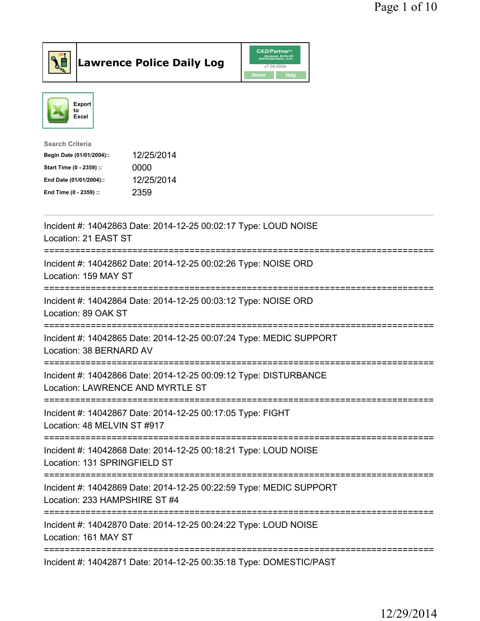



| <b>Search Criteria</b>    |            |
|---------------------------|------------|
| Begin Date (01/01/2004):: | 12/25/2014 |
| Start Time (0 - 2359) ::  | 0000       |
| End Date (01/01/2004)::   | 12/25/2014 |
| End Time (0 - 2359) ::    | 2359       |
|                           |            |

| Incident #: 14042863 Date: 2014-12-25 00:02:17 Type: LOUD NOISE<br>Location: 21 EAST ST                             |
|---------------------------------------------------------------------------------------------------------------------|
| Incident #: 14042862 Date: 2014-12-25 00:02:26 Type: NOISE ORD<br>Location: 159 MAY ST                              |
| Incident #: 14042864 Date: 2014-12-25 00:03:12 Type: NOISE ORD<br>Location: 89 OAK ST                               |
| Incident #: 14042865 Date: 2014-12-25 00:07:24 Type: MEDIC SUPPORT<br>Location: 38 BERNARD AV<br>------------------ |
| Incident #: 14042866 Date: 2014-12-25 00:09:12 Type: DISTURBANCE<br>Location: LAWRENCE AND MYRTLE ST                |
| Incident #: 14042867 Date: 2014-12-25 00:17:05 Type: FIGHT                                                          |
| Location: 48 MELVIN ST #917                                                                                         |
| Incident #: 14042868 Date: 2014-12-25 00:18:21 Type: LOUD NOISE<br>Location: 131 SPRINGFIELD ST                     |
| Incident #: 14042869 Date: 2014-12-25 00:22:59 Type: MEDIC SUPPORT<br>Location: 233 HAMPSHIRE ST #4                 |
| Incident #: 14042870 Date: 2014-12-25 00:24:22 Type: LOUD NOISE<br>Location: 161 MAY ST                             |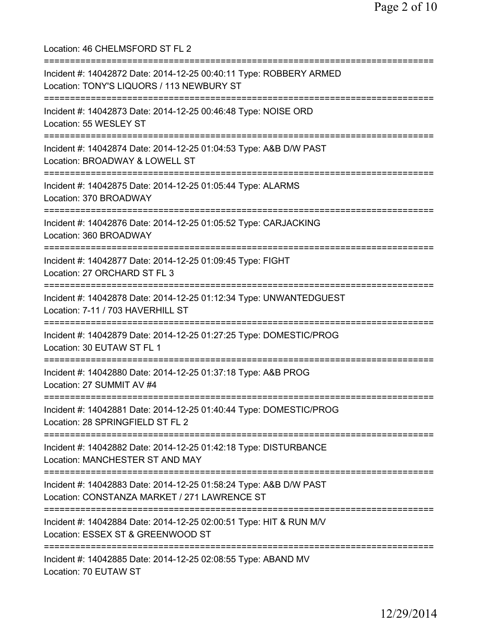Location: 46 CHELMSFORD ST FL 2 =========================================================================== Incident #: 14042872 Date: 2014-12-25 00:40:11 Type: ROBBERY ARMED Location: TONY'S LIQUORS / 113 NEWBURY ST =========================================================================== Incident #: 14042873 Date: 2014-12-25 00:46:48 Type: NOISE ORD Location: 55 WESLEY ST =========================================================================== Incident #: 14042874 Date: 2014-12-25 01:04:53 Type: A&B D/W PAST Location: BROADWAY & LOWELL ST =========================================================================== Incident #: 14042875 Date: 2014-12-25 01:05:44 Type: ALARMS Location: 370 BROADWAY =========================================================================== Incident #: 14042876 Date: 2014-12-25 01:05:52 Type: CARJACKING Location: 360 BROADWAY =========================================================================== Incident #: 14042877 Date: 2014-12-25 01:09:45 Type: FIGHT Location: 27 ORCHARD ST FL 3 =========================================================================== Incident #: 14042878 Date: 2014-12-25 01:12:34 Type: UNWANTEDGUEST Location: 7-11 / 703 HAVERHILL ST =========================================================================== Incident #: 14042879 Date: 2014-12-25 01:27:25 Type: DOMESTIC/PROG Location: 30 EUTAW ST FL 1 =========================================================================== Incident #: 14042880 Date: 2014-12-25 01:37:18 Type: A&B PROG Location: 27 SUMMIT AV #4 =========================================================================== Incident #: 14042881 Date: 2014-12-25 01:40:44 Type: DOMESTIC/PROG Location: 28 SPRINGFIELD ST FL 2 =========================================================================== Incident #: 14042882 Date: 2014-12-25 01:42:18 Type: DISTURBANCE Location: MANCHESTER ST AND MAY =========================================================================== Incident #: 14042883 Date: 2014-12-25 01:58:24 Type: A&B D/W PAST Location: CONSTANZA MARKET / 271 LAWRENCE ST =========================================================================== Incident #: 14042884 Date: 2014-12-25 02:00:51 Type: HIT & RUN M/V Location: ESSEX ST & GREENWOOD ST =========================================================================== Incident #: 14042885 Date: 2014-12-25 02:08:55 Type: ABAND MV Location: 70 EUTAW ST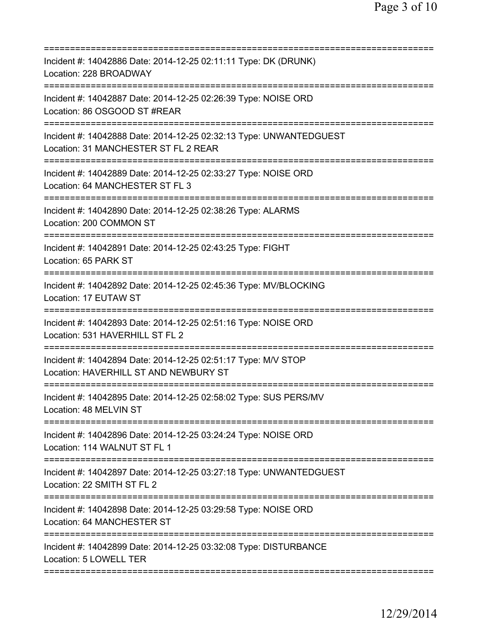| ========================                                                                                                                |
|-----------------------------------------------------------------------------------------------------------------------------------------|
| Incident #: 14042886 Date: 2014-12-25 02:11:11 Type: DK (DRUNK)<br>Location: 228 BROADWAY                                               |
| Incident #: 14042887 Date: 2014-12-25 02:26:39 Type: NOISE ORD<br>Location: 86 OSGOOD ST #REAR                                          |
| Incident #: 14042888 Date: 2014-12-25 02:32:13 Type: UNWANTEDGUEST<br>Location: 31 MANCHESTER ST FL 2 REAR<br>========================= |
| Incident #: 14042889 Date: 2014-12-25 02:33:27 Type: NOISE ORD<br>Location: 64 MANCHESTER ST FL 3                                       |
| Incident #: 14042890 Date: 2014-12-25 02:38:26 Type: ALARMS<br>Location: 200 COMMON ST                                                  |
| Incident #: 14042891 Date: 2014-12-25 02:43:25 Type: FIGHT<br>Location: 65 PARK ST                                                      |
| Incident #: 14042892 Date: 2014-12-25 02:45:36 Type: MV/BLOCKING<br>Location: 17 EUTAW ST                                               |
| Incident #: 14042893 Date: 2014-12-25 02:51:16 Type: NOISE ORD<br>Location: 531 HAVERHILL ST FL 2                                       |
| Incident #: 14042894 Date: 2014-12-25 02:51:17 Type: M/V STOP<br>Location: HAVERHILL ST AND NEWBURY ST                                  |
| Incident #: 14042895 Date: 2014-12-25 02:58:02 Type: SUS PERS/MV<br>Location: 48 MELVIN ST                                              |
| Incident #: 14042896 Date: 2014-12-25 03:24:24 Type: NOISE ORD<br>Location: 114 WALNUT ST FL 1                                          |
| Incident #: 14042897 Date: 2014-12-25 03:27:18 Type: UNWANTEDGUEST<br>Location: 22 SMITH ST FL 2                                        |
| Incident #: 14042898 Date: 2014-12-25 03:29:58 Type: NOISE ORD<br>Location: 64 MANCHESTER ST                                            |
| Incident #: 14042899 Date: 2014-12-25 03:32:08 Type: DISTURBANCE<br>Location: 5 LOWELL TER                                              |
|                                                                                                                                         |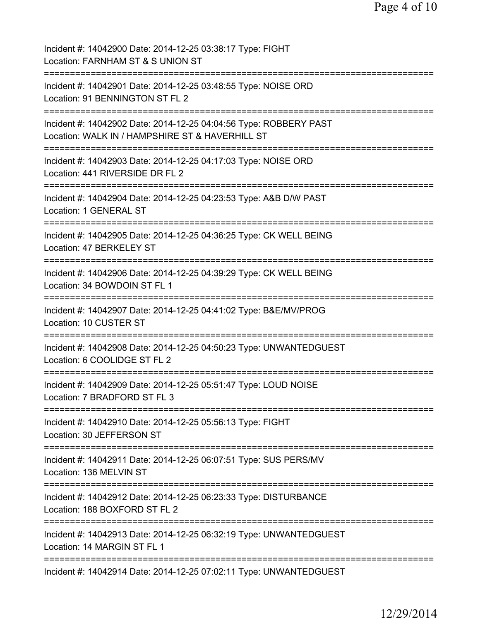| Incident #: 14042900 Date: 2014-12-25 03:38:17 Type: FIGHT<br>Location: FARNHAM ST & S UNION ST                      |
|----------------------------------------------------------------------------------------------------------------------|
| Incident #: 14042901 Date: 2014-12-25 03:48:55 Type: NOISE ORD<br>Location: 91 BENNINGTON ST FL 2                    |
| Incident #: 14042902 Date: 2014-12-25 04:04:56 Type: ROBBERY PAST<br>Location: WALK IN / HAMPSHIRE ST & HAVERHILL ST |
| Incident #: 14042903 Date: 2014-12-25 04:17:03 Type: NOISE ORD<br>Location: 441 RIVERSIDE DR FL 2                    |
| Incident #: 14042904 Date: 2014-12-25 04:23:53 Type: A&B D/W PAST<br>Location: 1 GENERAL ST                          |
| Incident #: 14042905 Date: 2014-12-25 04:36:25 Type: CK WELL BEING<br>Location: 47 BERKELEY ST                       |
| Incident #: 14042906 Date: 2014-12-25 04:39:29 Type: CK WELL BEING<br>Location: 34 BOWDOIN ST FL 1                   |
| Incident #: 14042907 Date: 2014-12-25 04:41:02 Type: B&E/MV/PROG<br>Location: 10 CUSTER ST                           |
| Incident #: 14042908 Date: 2014-12-25 04:50:23 Type: UNWANTEDGUEST<br>Location: 6 COOLIDGE ST FL 2                   |
| Incident #: 14042909 Date: 2014-12-25 05:51:47 Type: LOUD NOISE<br>Location: 7 BRADFORD ST FL 3                      |
| Incident #: 14042910 Date: 2014-12-25 05:56:13 Type: FIGHT<br>Location: 30 JEFFERSON ST                              |
| Incident #: 14042911 Date: 2014-12-25 06:07:51 Type: SUS PERS/MV<br>Location: 136 MELVIN ST                          |
| Incident #: 14042912 Date: 2014-12-25 06:23:33 Type: DISTURBANCE<br>Location: 188 BOXFORD ST FL 2                    |
| Incident #: 14042913 Date: 2014-12-25 06:32:19 Type: UNWANTEDGUEST<br>Location: 14 MARGIN ST FL 1                    |
| Incident #: 14042914 Date: 2014-12-25 07:02:11 Type: UNWANTEDGUEST                                                   |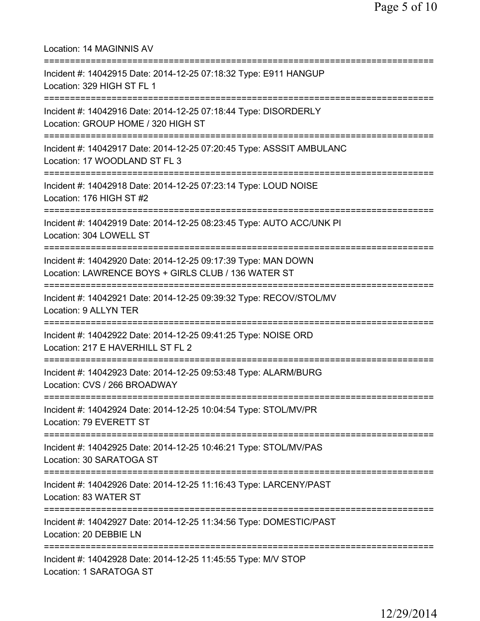| Location: 14 MAGINNIS AV                                                                                                                                     |
|--------------------------------------------------------------------------------------------------------------------------------------------------------------|
| Incident #: 14042915 Date: 2014-12-25 07:18:32 Type: E911 HANGUP<br>Location: 329 HIGH ST FL 1                                                               |
| Incident #: 14042916 Date: 2014-12-25 07:18:44 Type: DISORDERLY<br>Location: GROUP HOME / 320 HIGH ST                                                        |
| Incident #: 14042917 Date: 2014-12-25 07:20:45 Type: ASSSIT AMBULANC<br>Location: 17 WOODLAND ST FL 3                                                        |
| Incident #: 14042918 Date: 2014-12-25 07:23:14 Type: LOUD NOISE<br>Location: 176 HIGH ST #2                                                                  |
| Incident #: 14042919 Date: 2014-12-25 08:23:45 Type: AUTO ACC/UNK PI<br>Location: 304 LOWELL ST                                                              |
| Incident #: 14042920 Date: 2014-12-25 09:17:39 Type: MAN DOWN<br>Location: LAWRENCE BOYS + GIRLS CLUB / 136 WATER ST<br>==================================== |
| Incident #: 14042921 Date: 2014-12-25 09:39:32 Type: RECOV/STOL/MV<br><b>Location: 9 ALLYN TER</b>                                                           |
| Incident #: 14042922 Date: 2014-12-25 09:41:25 Type: NOISE ORD<br>Location: 217 E HAVERHILL ST FL 2<br>=============================                         |
| Incident #: 14042923 Date: 2014-12-25 09:53:48 Type: ALARM/BURG<br>Location: CVS / 266 BROADWAY                                                              |
| Incident #: 14042924 Date: 2014-12-25 10:04:54 Type: STOL/MV/PR<br>Location: 79 EVERETT ST                                                                   |
| ======================================<br>Incident #: 14042925 Date: 2014-12-25 10:46:21 Type: STOL/MV/PAS<br>Location: 30 SARATOGA ST                       |
| -------------------------------------<br>Incident #: 14042926 Date: 2014-12-25 11:16:43 Type: LARCENY/PAST<br>Location: 83 WATER ST                          |
| Incident #: 14042927 Date: 2014-12-25 11:34:56 Type: DOMESTIC/PAST<br>Location: 20 DEBBIE LN                                                                 |
| Incident #: 14042928 Date: 2014-12-25 11:45:55 Type: M/V STOP<br>Location: 1 SARATOGA ST                                                                     |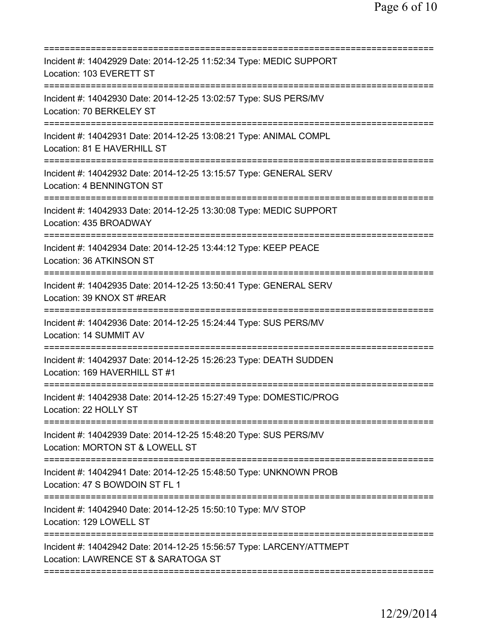| Incident #: 14042929 Date: 2014-12-25 11:52:34 Type: MEDIC SUPPORT<br>Location: 103 EVERETT ST                     |
|--------------------------------------------------------------------------------------------------------------------|
| Incident #: 14042930 Date: 2014-12-25 13:02:57 Type: SUS PERS/MV<br>Location: 70 BERKELEY ST                       |
| Incident #: 14042931 Date: 2014-12-25 13:08:21 Type: ANIMAL COMPL<br>Location: 81 E HAVERHILL ST                   |
| Incident #: 14042932 Date: 2014-12-25 13:15:57 Type: GENERAL SERV<br>Location: 4 BENNINGTON ST                     |
| Incident #: 14042933 Date: 2014-12-25 13:30:08 Type: MEDIC SUPPORT<br>Location: 435 BROADWAY                       |
| Incident #: 14042934 Date: 2014-12-25 13:44:12 Type: KEEP PEACE<br>Location: 36 ATKINSON ST                        |
| Incident #: 14042935 Date: 2014-12-25 13:50:41 Type: GENERAL SERV<br>Location: 39 KNOX ST #REAR                    |
| Incident #: 14042936 Date: 2014-12-25 15:24:44 Type: SUS PERS/MV<br>Location: 14 SUMMIT AV<br>==================== |
| Incident #: 14042937 Date: 2014-12-25 15:26:23 Type: DEATH SUDDEN<br>Location: 169 HAVERHILL ST #1                 |
| Incident #: 14042938 Date: 2014-12-25 15:27:49 Type: DOMESTIC/PROG<br>Location: 22 HOLLY ST                        |
| Incident #: 14042939 Date: 2014-12-25 15:48:20 Type: SUS PERS/MV<br>Location: MORTON ST & LOWELL ST                |
| Incident #: 14042941 Date: 2014-12-25 15:48:50 Type: UNKNOWN PROB<br>Location: 47 S BOWDOIN ST FL 1                |
| Incident #: 14042940 Date: 2014-12-25 15:50:10 Type: M/V STOP<br>Location: 129 LOWELL ST                           |
| Incident #: 14042942 Date: 2014-12-25 15:56:57 Type: LARCENY/ATTMEPT<br>Location: LAWRENCE ST & SARATOGA ST        |
|                                                                                                                    |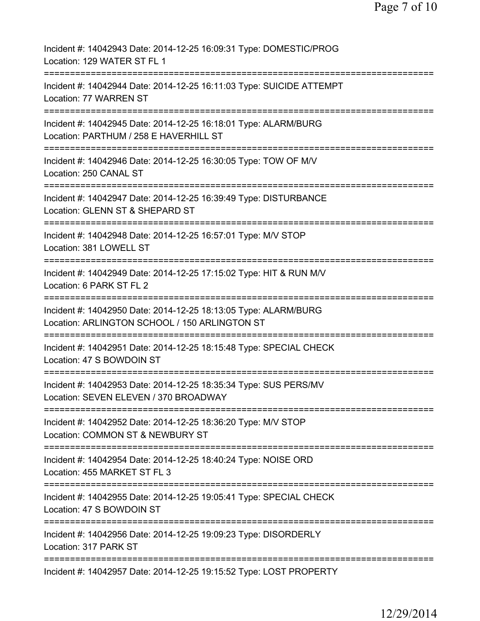Page 7 of 10

| Incident #: 14042943 Date: 2014-12-25 16:09:31 Type: DOMESTIC/PROG<br>Location: 129 WATER ST FL 1                                                                                  |
|------------------------------------------------------------------------------------------------------------------------------------------------------------------------------------|
| Incident #: 14042944 Date: 2014-12-25 16:11:03 Type: SUICIDE ATTEMPT<br>Location: 77 WARREN ST                                                                                     |
| Incident #: 14042945 Date: 2014-12-25 16:18:01 Type: ALARM/BURG<br>Location: PARTHUM / 258 E HAVERHILL ST                                                                          |
| Incident #: 14042946 Date: 2014-12-25 16:30:05 Type: TOW OF M/V<br>Location: 250 CANAL ST                                                                                          |
| Incident #: 14042947 Date: 2014-12-25 16:39:49 Type: DISTURBANCE<br>Location: GLENN ST & SHEPARD ST                                                                                |
| Incident #: 14042948 Date: 2014-12-25 16:57:01 Type: M/V STOP<br>Location: 381 LOWELL ST                                                                                           |
| Incident #: 14042949 Date: 2014-12-25 17:15:02 Type: HIT & RUN M/V<br>Location: 6 PARK ST FL 2                                                                                     |
| Incident #: 14042950 Date: 2014-12-25 18:13:05 Type: ALARM/BURG<br>Location: ARLINGTON SCHOOL / 150 ARLINGTON ST                                                                   |
| ===================================<br>Incident #: 14042951 Date: 2014-12-25 18:15:48 Type: SPECIAL CHECK<br>Location: 47 S BOWDOIN ST                                             |
| Incident #: 14042953 Date: 2014-12-25 18:35:34 Type: SUS PERS/MV<br>Location: SEVEN ELEVEN / 370 BROADWAY                                                                          |
| Incident #: 14042952 Date: 2014-12-25 18:36:20 Type: M/V STOP<br>Location: COMMON ST & NEWBURY ST                                                                                  |
| Incident #: 14042954 Date: 2014-12-25 18:40:24 Type: NOISE ORD<br>Location: 455 MARKET ST FL 3                                                                                     |
| ==================<br>==============================<br>=======================<br>Incident #: 14042955 Date: 2014-12-25 19:05:41 Type: SPECIAL CHECK<br>Location: 47 S BOWDOIN ST |
| Incident #: 14042956 Date: 2014-12-25 19:09:23 Type: DISORDERLY<br>Location: 317 PARK ST                                                                                           |
| Incident #: 14042957 Date: 2014-12-25 19:15:52 Type: LOST PROPERTY                                                                                                                 |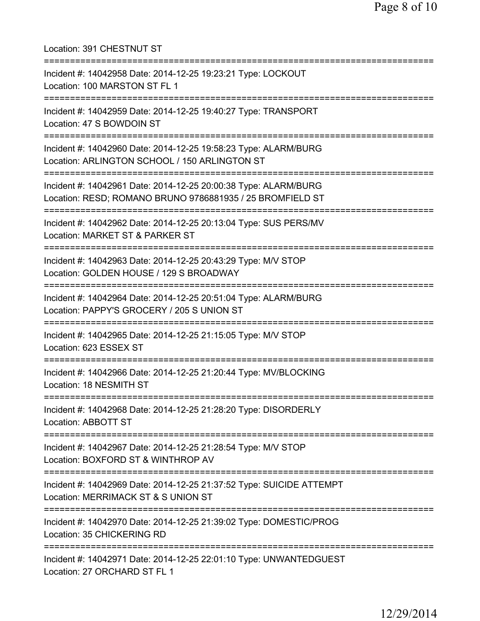Location: 391 CHESTNUT ST =========================================================================== Incident #: 14042958 Date: 2014-12-25 19:23:21 Type: LOCKOUT Location: 100 MARSTON ST FL 1 =========================================================================== Incident #: 14042959 Date: 2014-12-25 19:40:27 Type: TRANSPORT Location: 47 S BOWDOIN ST =========================================================================== Incident #: 14042960 Date: 2014-12-25 19:58:23 Type: ALARM/BURG Location: ARLINGTON SCHOOL / 150 ARLINGTON ST =========================================================================== Incident #: 14042961 Date: 2014-12-25 20:00:38 Type: ALARM/BURG Location: RESD; ROMANO BRUNO 9786881935 / 25 BROMFIELD ST =========================================================================== Incident #: 14042962 Date: 2014-12-25 20:13:04 Type: SUS PERS/MV Location: MARKET ST & PARKER ST =========================================================================== Incident #: 14042963 Date: 2014-12-25 20:43:29 Type: M/V STOP Location: GOLDEN HOUSE / 129 S BROADWAY =========================================================================== Incident #: 14042964 Date: 2014-12-25 20:51:04 Type: ALARM/BURG Location: PAPPY'S GROCERY / 205 S UNION ST =========================================================================== Incident #: 14042965 Date: 2014-12-25 21:15:05 Type: M/V STOP Location: 623 ESSEX ST =========================================================================== Incident #: 14042966 Date: 2014-12-25 21:20:44 Type: MV/BLOCKING Location: 18 NESMITH ST =========================================================================== Incident #: 14042968 Date: 2014-12-25 21:28:20 Type: DISORDERLY Location: ABBOTT ST =========================================================================== Incident #: 14042967 Date: 2014-12-25 21:28:54 Type: M/V STOP Location: BOXFORD ST & WINTHROP AV =========================================================================== Incident #: 14042969 Date: 2014-12-25 21:37:52 Type: SUICIDE ATTEMPT Location: MERRIMACK ST & S UNION ST =========================================================================== Incident #: 14042970 Date: 2014-12-25 21:39:02 Type: DOMESTIC/PROG Location: 35 CHICKERING RD =========================================================================== Incident #: 14042971 Date: 2014-12-25 22:01:10 Type: UNWANTEDGUEST Location: 27 ORCHARD ST FL 1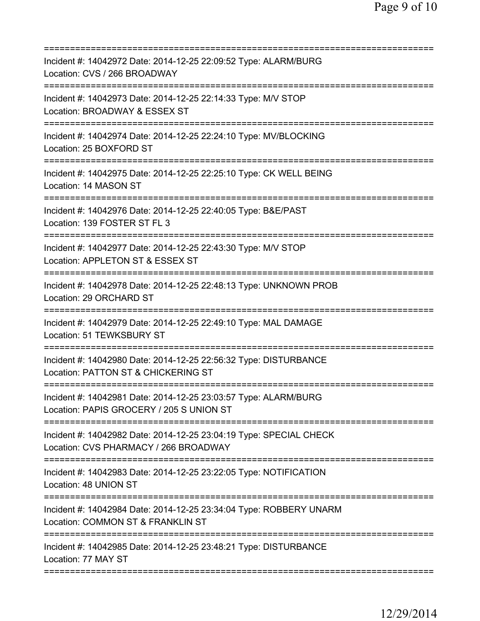| ========================                                                                                    |
|-------------------------------------------------------------------------------------------------------------|
| Incident #: 14042972 Date: 2014-12-25 22:09:52 Type: ALARM/BURG<br>Location: CVS / 266 BROADWAY             |
| Incident #: 14042973 Date: 2014-12-25 22:14:33 Type: M/V STOP<br>Location: BROADWAY & ESSEX ST              |
| Incident #: 14042974 Date: 2014-12-25 22:24:10 Type: MV/BLOCKING<br>Location: 25 BOXFORD ST                 |
| Incident #: 14042975 Date: 2014-12-25 22:25:10 Type: CK WELL BEING<br>Location: 14 MASON ST                 |
| Incident #: 14042976 Date: 2014-12-25 22:40:05 Type: B&E/PAST<br>Location: 139 FOSTER ST FL 3               |
| Incident #: 14042977 Date: 2014-12-25 22:43:30 Type: M/V STOP<br>Location: APPLETON ST & ESSEX ST           |
| Incident #: 14042978 Date: 2014-12-25 22:48:13 Type: UNKNOWN PROB<br>Location: 29 ORCHARD ST                |
| Incident #: 14042979 Date: 2014-12-25 22:49:10 Type: MAL DAMAGE<br>Location: 51 TEWKSBURY ST                |
| Incident #: 14042980 Date: 2014-12-25 22:56:32 Type: DISTURBANCE<br>Location: PATTON ST & CHICKERING ST     |
| Incident #: 14042981 Date: 2014-12-25 23:03:57 Type: ALARM/BURG<br>Location: PAPIS GROCERY / 205 S UNION ST |
| Incident #: 14042982 Date: 2014-12-25 23:04:19 Type: SPECIAL CHECK<br>Location: CVS PHARMACY / 266 BROADWAY |
| Incident #: 14042983 Date: 2014-12-25 23:22:05 Type: NOTIFICATION<br>Location: 48 UNION ST                  |
| Incident #: 14042984 Date: 2014-12-25 23:34:04 Type: ROBBERY UNARM<br>Location: COMMON ST & FRANKLIN ST     |
| Incident #: 14042985 Date: 2014-12-25 23:48:21 Type: DISTURBANCE<br>Location: 77 MAY ST                     |
|                                                                                                             |